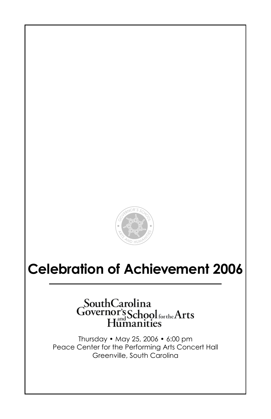

# **Celebration of Achievement 2006**

# SouthCarolina<br>Governor's Schoolforthe Arts<br>Humanities

Thursday • May 25, 2006 • 6:00 pm Peace Center for the Performing Arts Concert Hall Greenville, South Carolina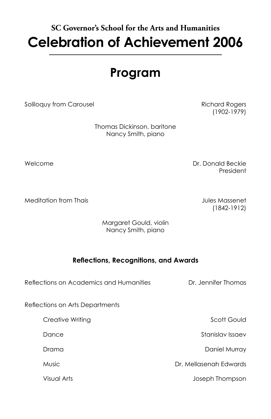# **SC Governor's School for the Arts and Humanities Celebration of Achievement 2006**

# **Program**

Soliloquy from Carousel **Richard Rogers** Richard Rogers

(1902-1979)

 Thomas Dickinson, baritone Nancy Smith, piano

Welcome **Dr. Donald Beckie** President (1999) and the contract of the contract of the contract of the contract of the contract of the contract of the contract of the contract of the contract of the contract of the contract of the contract of the contr

Meditation from Thais Jules Massenet

(1842-1912)

 Margaret Gould, violin Nancy Smith, piano

# **Reflections, Recognitions, and Awards**

Reflections on Academics and Humanities **Dr. Jennifer Thomas** 

Reflections on Arts Departments

Creative Writing **Scott Gould** Scott Gould Dance Stanislav Issaev Drama Daniel Murray Music Dr. Mellasenah Edwards

Visual Arts Joseph Thompson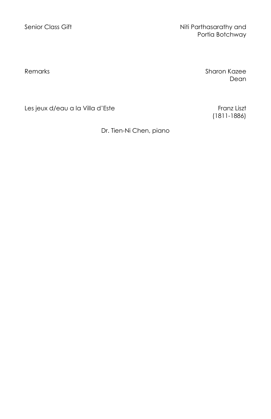Senior Class Gift Niti Parthasarathy and Portia Botchway

Remarks **Sharon Kazee** dean and the control of the control of the control of the control of the control of the control of the control of the control of the control of the control of the control of the control of the control of the control of the

(1811-1886)

Les jeux d/eau a la Villa d'Este Franz Liszt

Dr. Tien-Ni Chen, piano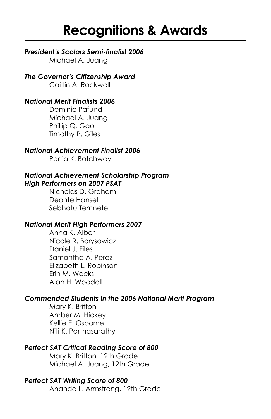# **Recognitions & Awards**

# *President's Scolars Semi-finalist 2006*

Michael A. Juang

*The Governor's Citizenship Award* Caitlin A. Rockwell

# *National Merit Finalists 2006*

Dominic Pafundi Michael A. Juang Phillip Q. Gao Timothy P. Giles

# *National Achievement Finalist 2006*

Portia K. Botchway

# *National Achievement Scholarship Program High Performers on 2007 PSAT*

Nicholas D. Graham Deonte Hansel Sebhatu Temnete

# *National Merit High Performers 2007*

Anna K. Alber Nicole R. Borysowicz Daniel J. Files Samantha A. Perez Elizabeth L. Robinson Erin M. Weeks Alan H. Woodall

# *Commended Students in the 2006 National Merit Program*

Mary K. Britton Amber M. Hickey Kellie E. Osborne Niti K. Parthasarathy

# *Perfect SAT Critical Reading Score of 800*

Mary K. Britton, 12th Grade Michael A. Juang, 12th Grade

#### *Perfect SAT Writing Score of 800* Ananda L. Armstrong, 12th Grade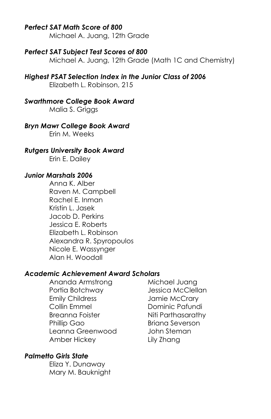# *Perfect SAT Math Score of 800*

Michael A. Juang, 12th Grade

#### *Perfect SAT Subject Test Scores of 800*

Michael A. Juang, 12th Grade (Math 1C and Chemistry)

#### *Highest PSAT Selection Index in the Junior Class of 2006*

Elizabeth L. Robinson, 215

# *Swarthmore College Book Award*

Malia S. Griggs

# *Bryn Mawr College Book Award*

Erin M. Weeks

#### *Rutgers University Book Award*

Erin E. Dailey

#### *Junior Marshals 2006*

Anna K. Alber Raven M. Campbell Rachel E. Inman Kristin L. Jasek Jacob D. Perkins Jessica E. Roberts Elizabeth L. Robinson Alexandra R. Spyropoulos Nicole E. Wassynger Alan H. Woodall

#### *Academic Achievement Award Scholars*

Ananda Armstrong Michael Juana Portia Botchway Jessica McClellan Emily Childress Jamie McCrary Collin Emmel Dominic Pafundi Breanna Foister **Niti Parthasarathy** Phillip Gao Briana Severson Leanna Greenwood John Steman Amber Hickey Lily Zhang

# *Palmetto Girls State*

Eliza Y. Dunaway Mary M. Bauknight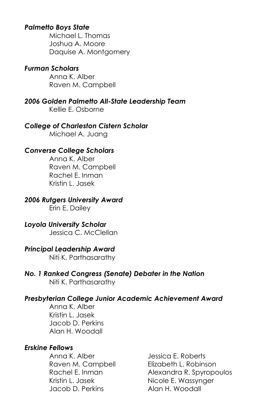# *Palmetto Boys State*

Michael L. Thomas Joshua A. Moore Daquise A. Montgomery

# *Furman Scholars*

Anna K. Alber Raven M. Campbell

*2006 Golden Palmetto All-State Leadership Team* Kellie E. Osborne

*College of Charleston Cistern Scholar* Michael A. Juang

#### *Converse College Scholars*

Anna K. Alber Raven M. Campbell Rachel E. Inman Kristin L. Jasek

#### *2006 Rutgers University Award*

Erin E. Dailey

# *Loyola University Scholar*

Jessica C. McClellan

#### *Principal Leadership Award*

Niti K. Parthasarathy

#### *No. 1 Ranked Congress (Senate) Debater in the Nation* Niti K. Parthasarathy

# *Presbyterian College Junior Academic Achievement Award*

Anna K. Alber Kristin L. Jasek Jacob D. Perkins Alan H. Woodall

# *Erskine Fellows*

Anna K. Alber Jessica E. Roberts Kristin L. Jasek Nicole E. Wassynger Jacob D. Perkins Alan H. Woodall

Raven M. Campbell Elizabeth L. Robinson Rachel E. Inman Alexandra R. Spyropoulos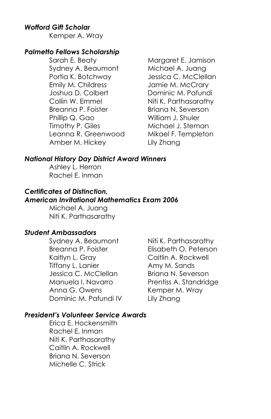# *Wofford Gift Scholar*

Kemper A. Wray

#### *Palmetto Fellows Scholarship*

Sarah E. Beaty Margaret E. Jamison Sydney A. Beaumont Michael A. Juang Portia K. Botchway Jessica C. McClellan Emily M. Childress Jamie M. McCrary Joshua D. Colbert Dominic M. Pafundi Collin W. Emmel Niti K. Parthasarathy Breanna P. Foister Briana N. Severson Phillip Q. Gao William J. Shuler Timothy P. Giles Michael J. Steman Leanna R. Greenwood Mikael F. Templeton Amber M. Hickey Lily Zhang

#### *National History Day District Award Winners*

Ashley L. Herron Rachel E. Inman

# *Certificates of Distinction,*

# *American Invitational Mathematics Exam 2006*

Michael A. Juang Niti K. Parthasarathy

# *Student Ambassadors*

Breanna P. Foister Elisabeth O. Peterson Kaitlyn L. Gray Caitlin A. Rockwell Tiffany L. Lanier **Amy M. Sands** Jessica C. McClellan Briana N. Severson Manuela I. Navarro Prentiss A. Standridge Anna G. Owens Kemper M. Wray Dominic M. Pafundi IV Lily Zhang

Sydney A. Beaumont Niti K. Parthasarathy

# *President's Volunteer Service Awards*

Erica E. Hockensmith Rachel E. Inman Niti K. Parthasarathy Caitlin A. Rockwell Briana N. Severson Michelle C. Strick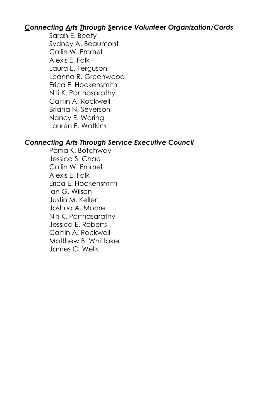# *Connecting Arts Through Service Volunteer Organization/Cords*

Sarah E. Beaty Sydney A. Beaumont Collin W. Emmel Alexis E. Falk Laura E. Ferguson Leanna R. Greenwood Erica E. Hockensmith Niti K. Parthasarathy Caitlin A. Rockwell Briana N. Severson Nancy E. Waring Lauren E. Watkins

# *Connecting Arts Through Service Executive Council*

Portia K. Botchway Jessica S. Chao Collin W. Emmel Alexis E. Falk Erica E. Hockensmith Ian G. Wilson Justin M. Keller Joshua A. Moore Niti K. Parthasarathy Jessica E. Roberts Caitlin A. Rockwell Matthew B. Whittaker James C. Wells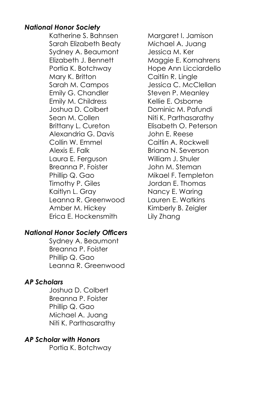# *National Honor Society*

Katherine S. Bahnsen Margaret I. Jamison Sarah Elizabeth Beaty Michael A. Juang Sydney A. Beaumont Jessica M. Ker Elizabeth J. Bennett Maggie E. Kornahrens Portia K. Botchway Hope Ann Licciardello Mary K. Britton Caitlin R. Lingle Sarah M. Campos Jessica C. McClellan Emily G. Chandler Steven P. Meanley Emily M. Childress Kellie E. Osborne Joshua D. Colbert Dominic M. Pafundi Sean M. Collen Niti K. Parthasarathy Brittany L. Cureton Elisabeth O. Peterson Alexandria G. Davis John E. Reese Collin W. Emmel Caitlin A. Rockwell Alexis F. Falk Briana N. Severson Laura E. Ferguson William J. Shuler Breanna P. Foister **Graute Steman** John M. Steman Phillip Q. Gao Mikael F. Templeton Timothy P. Giles **Jordan E. Thomas** Kaitlyn L. Gray Nancy E. Waring Leanna R. Greenwood Lauren E. Watkins Amber M. Hickey Kimberly B. Zeigler Erica E. Hockensmith Lily Zhang

# *National Honor Society Officers*

Sydney A. Beaumont Breanna P. Foister Phillip Q. Gao Leanna R. Greenwood

# *AP Scholars*

Joshua D. Colbert Breanna P. Foister Phillip Q. Gao Michael A. Juang Niti K. Parthasarathy

# *AP Scholar with Honors*

Portia K. Botchway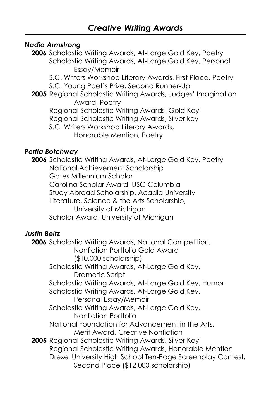# *Nadia Armstrong*

**2006** Scholastic Writing Awards, At-Large Gold Key, Poetry Scholastic Writing Awards, At-Large Gold Key, Personal Essay/Memoir

S.C. Writers Workshop Literary Awards, First Place, Poetry

S.C. Young Poet's Prize, Second Runner-Up

**2005** Regional Scholastic Writing Awards, Judges' Imagination Award, Poetry

Regional Scholastic Writing Awards, Gold Key

Regional Scholastic Writing Awards, Silver key

S.C. Writers Workshop Literary Awards,

Honorable Mention, Poetry

# *Portia Botchway*

**2006** Scholastic Writing Awards, At-Large Gold Key, Poetry National Achievement Scholarship Gates Millennium Scholar Carolina Scholar Award, USC-Columbia Study Abroad Scholarship, Acadia University Literature, Science & the Arts Scholarship, University of Michigan Scholar Award, University of Michigan

# *Justin Beltz*

**2006** Scholastic Writing Awards, National Competition, Nonfiction Portfolio Gold Award (\$10,000 scholarship) Scholastic Writing Awards, At-Large Gold Key, Dramatic Script Scholastic Writing Awards, At-Large Gold Key, Humor Scholastic Writing Awards, At-Large Gold Key, Personal Essay/Memoir Scholastic Writing Awards, At-Large Gold Key, Nonfiction Portfolio National Foundation for Advancement in the Arts, Merit Award, Creative Nonfiction **2005** Regional Scholastic Writing Awards, Silver Key Regional Scholastic Writing Awards, Honorable Mention Drexel University High School Ten-Page Screenplay Contest, Second Place (\$12,000 scholarship)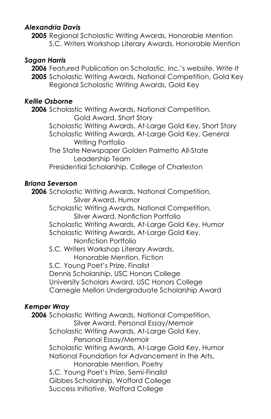# *Alexandria Davis*

**2005** Regional Scholastic Writing Awards, Honorable Mention S.C. Writers Workshop Literary Awards, Honorable Mention

# *Sagan Harris*

**2006** Featured Publication on Scholastic, Inc.'s website, *Write It* **2005** Scholastic Writing Awards, National Competition, Gold Key Regional Scholastic Writing Awards, Gold Key

# *Kellie Osborne*

**2006** Scholastic Writing Awards, National Competition, Gold Award, Short Story Scholastic Writing Awards, At-Large Gold Key, Short Story Scholastic Writing Awards, At-Large Gold Key, General Writing Portfolio The State Newspaper Golden Palmetto All-State Leadership Team Presidential Scholarship, College of Charleston

# *Briana Severson*

**2006** Scholastic Writing Awards, National Competition, Silver Award, Humor Scholastic Writing Awards, National Competition, Silver Award, Nonfiction Portfolio Scholastic Writing Awards, At-Large Gold Key, Humor Scholastic Writing Awards, At-Large Gold Key, Nonfiction Portfolio S.C. Writers Workshop Literary Awards, Honorable Mention, Fiction S.C. Young Poet's Prize, Finalist Dennis Scholarship, USC Honors College University Scholars Award, USC Honors College Carnegie Mellon Undergraduate Scholarship Award

# *Kemper Wray*

**2006** Scholastic Writing Awards, National Competition, Silver Award, Personal Essay/Memoir Scholastic Writing Awards, At-Large Gold Key, Personal Essay/Memoir Scholastic Writing Awards, At-Large Gold Key, Humor National Foundation for Advancement in the Arts, Honorable Mention, Poetry S.C. Young Poet's Prize, Semi-Finalist Gibbes Scholarship, Wofford College Success Initiative, Wofford College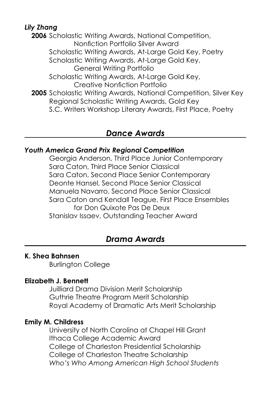# *Lily Zhang*

**2006** Scholastic Writing Awards, National Competition, Nonfiction Portfolio Silver Award Scholastic Writing Awards, At-Large Gold Key, Poetry Scholastic Writing Awards, At-Large Gold Key, General Writing Portfolio Scholastic Writing Awards, At-Large Gold Key, Creative Nonfiction Portfolio **2005** Scholastic Writing Awards, National Competition, Silver Key Regional Scholastic Writing Awards, Gold Key S.C. Writers Workshop Literary Awards, First Place, Poetry

# *Dance Awards*

# *Youth America Grand Prix Regional Competition*

Georgia Anderson, Third Place Junior Contemporary Sara Caton, Third Place Senior Classical Sara Caton, Second Place Senior Contemporary Deonte Hansel, Second Place Senior Classical Manuela Navarro, Second Place Senior Classical Sara Caton and Kendall Teague, First Place Ensembles for Don Quixote Pas De Deux Stanislav Issaev, Outstanding Teacher Award

# *Drama Awards*

# **K. Shea Bahnsen**

Burlington College

# **Elizabeth J. Bennett**

Juilliard Drama Division Merit Scholarship Guthrie Theatre Program Merit Scholarship Royal Academy of Dramatic Arts Merit Scholarship

# **Emily M. Childress**

University of North Carolina at Chapel Hill Grant Ithaca College Academic Award College of Charleston Presidential Scholarship College of Charleston Theatre Scholarship *Who's Who Among American High School Students*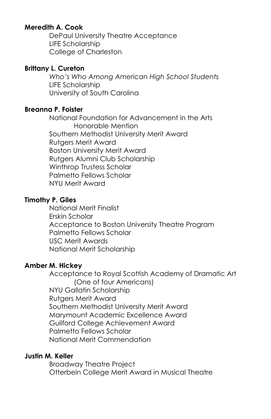# **Meredith A. Cook**

DePaul University Theatre Acceptance LIFE Scholarship College of Charleston

# **Brittany L. Cureton**

*Who's Who Among American High School Students* LIFE Scholarship University of South Carolina

# **Breanna P. Foister**

National Foundation for Advancement in the Arts Honorable Mention Southern Methodist University Merit Award Rutgers Merit Award Boston University Merit Award Rutgers Alumni Club Scholarship Winthrop Trustess Scholar Palmetto Fellows Scholar NYU Merit Award

# **Timothy P. Giles**

National Merit Finalist Erskin Scholar Acceptance to Boston University Theatre Program Palmetto Fellows Scholar USC Merit Awards National Merit Scholarship

# **Amber M. Hickey**

Acceptance to Royal Scottish Academy of Dramatic Art (One of four Americans) NYU Gallatin Scholarship Rutgers Merit Award Southern Methodist University Merit Award Marymount Academic Excellence Award Guilford College Achievement Award Palmetto Fellows Scholar National Merit Commendation

# **Justin M. Keller**

Broadway Theatre Project Otterbein College Merit Award in Musical Theatre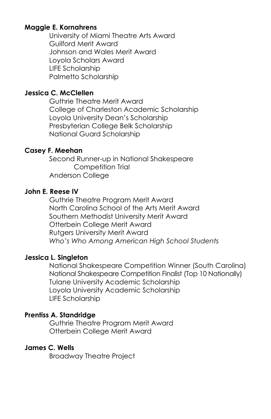# **Maggie E. Kornahrens**

University of Miami Theatre Arts Award Guilford Merit Award Johnson and Wales Merit Award Loyola Scholars Award LIFE Scholarship Palmetto Scholarship

# **Jessica C. McClellen**

Guthrie Theatre Merit Award College of Charleston Academic Scholarship Loyola University Dean's Scholarship Presbyterian College Belk Scholarship National Guard Scholarship

# **Casey F. Meehan**

Second Runner-up in National Shakespeare Competition Trial Anderson College

# **John E. Reese IV**

Guthrie Theatre Program Merit Award North Carolina School of the Arts Merit Award Southern Methodist University Merit Award Otterbein College Merit Award Rutgers University Merit Award *Who's Who Among American High School Students*

# **Jessica L. Singleton**

National Shakespeare Competition Winner (South Carolina) National Shakespeare Competition Finalist (Top 10 Nationally) Tulane University Academic Scholarship Loyola University Academic Scholarship LIFE Scholarship

# **Prentiss A. Standridge**

Guthrie Theatre Program Merit Award Otterbein College Merit Award

# **James C. Wells**

Broadway Theatre Project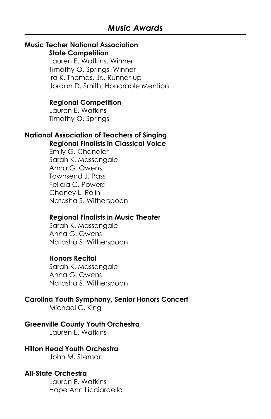#### **Music Techer National Association State Competition**

Lauren E. Watkins, Winner Timothy O. Springs, Winner Ira K. Thomas, Jr., Runner-up Jordan D. Smith, Honorable Mention

#### **Regional Competition**

Lauren E. Watkins Timothy O. Springs

#### **National Association of Teachers of Singing Regional Finalists in Classical Voice**

Emily G. Chandler Sarah K. Massengale Anna G. Owens Townsend J. Pass Felicia C. Powers Chaney L. Rolin Natasha S. Witherspoon

#### **Regional Finalists in Music Theater**

Sarah K. Massengale Anna G. Owens Natasha S. Witherspoon

#### **Honors Recital**

Sarah K. Massengale Anna G. Owens Natasha S. Witherspoon

#### **Carolina Youth Symphony, Senior Honors Concert**

Michael C. King

#### **Greenville County Youth Orchestra**

Lauren E. Watkins

# **Hilton Head Youth Orchestra**

John M. Steman

#### **All-State Orchestra**

Lauren E. Watkins Hope Ann Licciardello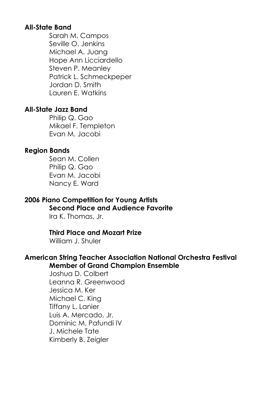# **All-State Band**

Sarah M. Campos Seville O. Jenkins Michael A. Juang Hope Ann Licciardello Steven P. Meanley Patrick L. Schmeckpeper Jordan D. Smith Lauren E. Watkins

# **All-State Jazz Band**

Philip Q. Gao Mikael F. Templeton Evan M. Jacobi

# **Region Bands**

Sean M. Collen Philip Q. Gao Evan M. Jacobi Nancy E. Ward

# **2006 Piano Competition for Young Artists**

# **Second Place and Audience Favorite**

Ira K. Thomas, Jr.

#### **Third Place and Mozart Prize**

William J. Shuler

#### **American String Teacher Association National Orchestra Festival Member of Grand Champion Ensemble**

Joshua D. Colbert Leanna R. Greenwood Jessica M. Ker Michael C. King Tiffany L. Lanier Luis A. Mercado, Jr. Dominic M. Pafundi IV J. Michele Tate Kimberly B. Zeigler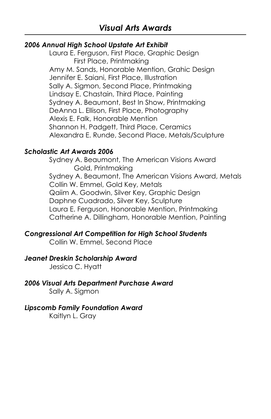# *2006 Annual High School Upstate Art Exhibit*

Laura E. Ferguson, First Place, Graphic Design First Place, Printmaking Amy M. Sands, Honorable Mention, Grahic Design Jennifer E. Saiani, First Place, Illustration Sally A. Sigmon, Second Place, Printmaking Lindsay E. Chastain, Third Place, Painting Sydney A. Beaumont, Best In Show, Printmaking DeAnna L. Ellison, First Place, Photography Alexis E. Falk, Honorable Mention Shannon H. Padgett, Third Place, Ceramics Alexandra E. Runde, Second Place, Metals/Sculpture

# *Scholastic Art Awards 2006*

Sydney A. Beaumont, The American Visions Award Gold, Printmaking Sydney A. Beaumont, The American Visions Award, Metals Collin W. Emmel, Gold Key, Metals Qaiim A. Goodwin, Silver Key, Graphic Design Daphne Cuadrado, Silver Key, Sculpture Laura E. Ferguson, Honorable Mention, Printmaking Catherine A. Dillingham, Honorable Mention, Painting

# *Congressional Art Competition for High School Students*

Collin W. Emmel, Second Place

# *Jeanet Dreskin Scholarship Award*

Jessica C. Hyatt

# *2006 Visual Arts Department Purchase Award*

Sally A. Sigmon

#### *Lipscomb Family Foundation Award*

Kaitlyn L. Gray